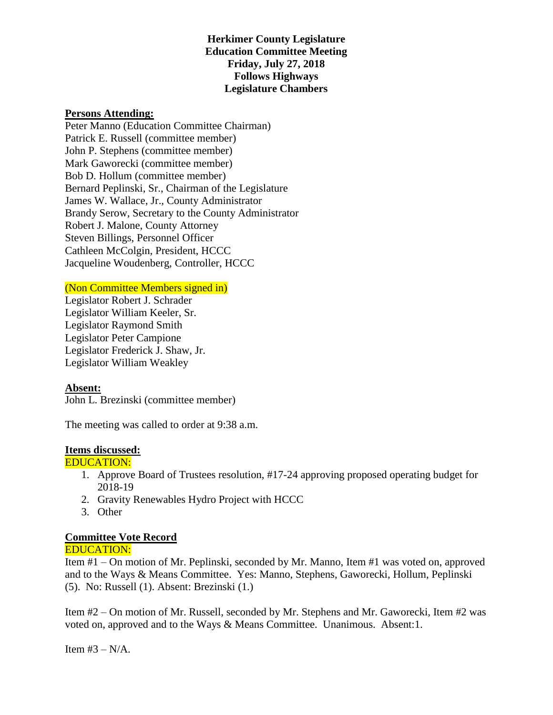# **Herkimer County Legislature Education Committee Meeting Friday, July 27, 2018 Follows Highways Legislature Chambers**

### **Persons Attending:**

Peter Manno (Education Committee Chairman) Patrick E. Russell (committee member) John P. Stephens (committee member) Mark Gaworecki (committee member) Bob D. Hollum (committee member) Bernard Peplinski, Sr., Chairman of the Legislature James W. Wallace, Jr., County Administrator Brandy Serow, Secretary to the County Administrator Robert J. Malone, County Attorney Steven Billings, Personnel Officer Cathleen McColgin, President, HCCC Jacqueline Woudenberg, Controller, HCCC

(Non Committee Members signed in)

Legislator Robert J. Schrader Legislator William Keeler, Sr. Legislator Raymond Smith Legislator Peter Campione Legislator Frederick J. Shaw, Jr. Legislator William Weakley

## **Absent:**

John L. Brezinski (committee member)

The meeting was called to order at 9:38 a.m.

#### **Items discussed:**

#### EDUCATION:

- 1. Approve Board of Trustees resolution, #17-24 approving proposed operating budget for 2018-19
- 2. Gravity Renewables Hydro Project with HCCC
- 3. Other

# **Committee Vote Record**

#### EDUCATION:

Item #1 – On motion of Mr. Peplinski, seconded by Mr. Manno, Item #1 was voted on, approved and to the Ways & Means Committee. Yes: Manno, Stephens, Gaworecki, Hollum, Peplinski (5). No: Russell (1). Absent: Brezinski (1.)

Item #2 – On motion of Mr. Russell, seconded by Mr. Stephens and Mr. Gaworecki, Item #2 was voted on, approved and to the Ways & Means Committee. Unanimous. Absent:1.

Item  $#3 - N/A$ .